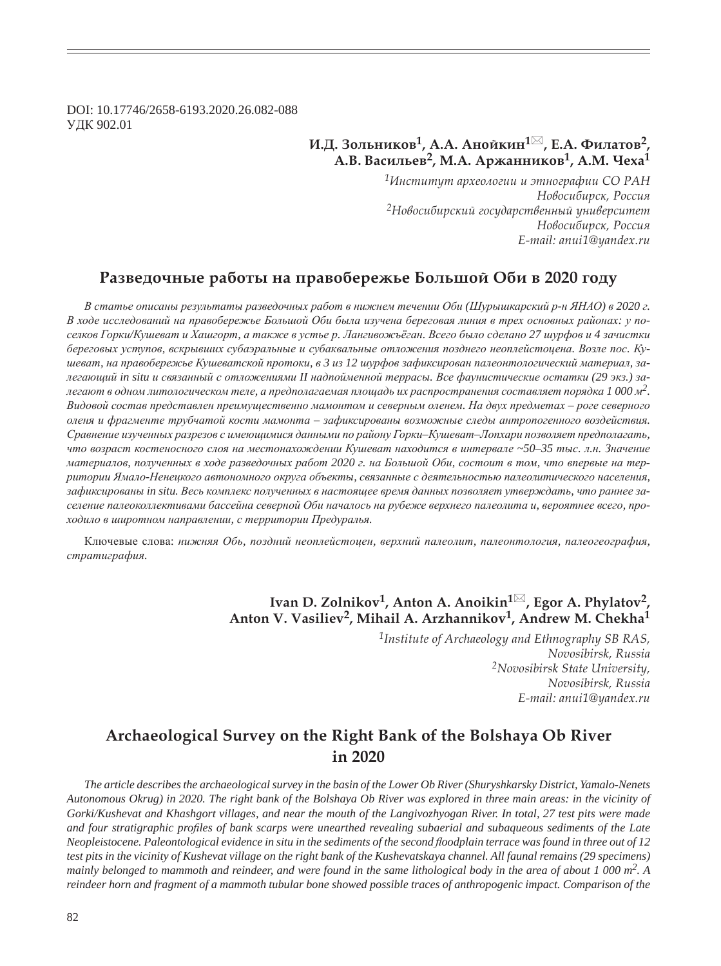DOI: 10.17746/2658-6193.2020.26.082-088 ɍȾɄ 902.01

## $\mathbf{W}$ .Д. Зольников<sup>1</sup>, А.А. Анойкин<sup>1⊠</sup>, Е.А. Филатов<sup>2</sup>, **Ǯ.ǰ. ǰȎȟȖșȪȓȐ2, Ǻ.Ǯ. ǮȞȔȎțțȖȘȜȐ1, Ǯ.Ǻ. ȅȓȣȎ<sup>1</sup>**

*<sup>1</sup>ǶțȟȠȖȠȡȠ ȎȞȣȓȜșȜȑȖȖ Ȗ ȫȠțȜȑȞȎȢȖȖ ǿǼ ǾǮǻ*  $H$ овосибирск, Россия <sup>2</sup>Новосибирский государственный университет  $H$ овосибирск, Россия *E-mail: anui1@yandex.ru*

### Разведочные работы на правобережье Большой Оби в 2020 году

В статье описаны результаты разведочных работ в нижнем течении Оби (Шурышкарский р-н ЯНАО) в 2020 г. В ходе исследований на правобережье Большой Оби была изучена береговая линия в трех основных районах: у поселков Горки/Кушеват и Хашгорт, а также в устье р. Лангивожъёган. Всего было сделано 27 шурфов и 4 зачистки *ɛɟɪɟɝɨɜɵɯ ɭɫɬɭɩɨɜ, ɜɫɤɪɵɜɲɢɯ ɫɭɛɚɷɪɚɥɶɧɵɟ ɢ ɫɭɛɚɤɜɚɥɶɧɵɟ ɨɬɥɨɠɟɧɢɹ ɩɨɡɞɧɟɝɨ ɧɟɨɩɥɟɣɫɬɨɰɟɧɚ. ȼɨɡɥɟ ɩɨɫ. Ʉɭ*шеват, на правобережье Кушеватской протоки, в 3 из 12 шурфов зафиксирован палеонтологический материал, залегающий in situ и связанный с отложениями II надпойменной террасы. Все фаунистические остатки (29 экз.) залегают в одном литологическом теле, а предполагаемая площадь их распространения составляет порядка 1 000 м<sup>2</sup>.  $B$ идовой состав представлен преимущественно мамонтом и северным оленем. На двух предметах – роге северного  $o$ леня и фрагменте трубчатой кости мамонта - зафиксированы возможные следы антропогенного воздействия. *ɋɪɚɜɧɟɧɢɟ ɢɡɭɱɟɧɧɵɯ ɪɚɡɪɟɡɨɜ ɫ ɢɦɟɸɳɢɦɢɫɹ ɞɚɧɧɵɦɢ ɩɨ ɪɚɣɨɧɭ Ƚɨɪɤɢ–Ʉɭɲɟɜɚɬ–Ʌɨɩɯɚɪɢ ɩɨɡɜɨɥɹɟɬ ɩɪɟɞɩɨɥɚɝɚɬɶ,*  что возраст костеносного слоя на местонахождении Кушеват находится в интервале ~50-35 тыс. л.н. Значение материалов, полученных в ходе разведочных работ 2020 г. на Большой Оби, состоит в том, что впервые на территории Ямало-Ненецкого автономного округа объекты, связанные с деятельностью палеолитического населения, зафиксированы in situ. Весь комплекс полученных в настоящее время данных позволяет утверждать, что раннее заселение палеоколлективами бассейна северной Оби началось на рубеже верхнего палеолита и, вероятнее всего, про $x$ одило в широтном направлении, с территории Предуралья.

Ключевые слова: нижняя Обь, поздний неоплейстоцен, верхний палеолит, палеонтология, палеогеография, стратиграфия.

# **Ivan D. Zolnikov<sup>1</sup>, Anton A. Anoikin<sup>1⊠</sup>, Egor A. Phylatov<sup>2</sup>, Anton V. Vasiliev2, Mihail A. Arzhannikov1, Andrew M. Chekha1**

*1Institute of Archaeology and Ethnography SB RAS, Novosibirsk, Russia 2Novosibirsk State University, Novosibirsk, Russia E-mail: anui1@yandex.ru*

# **Archaeological Survey on the Right Bank of the Bolshaya Ob River in 2020**

*The article describes the archaeological survey in the basin of the Lower Ob River (Shuryshkarsky District, Yamalo-Nenets Autonomous Okrug) in 2020. The right bank of the Bolshaya Ob River was explored in three main areas: in the vicinity of Gorki/Kushevat and Khashgort villages, and near the mouth of the Langivozhyogan River. In total, 27 test pits were made*  and four stratigraphic profiles of bank scarps were unearthed revealing subaerial and subaqueous sediments of the Late *Neopleistocene. Paleontological evidence in situ in the sediments of the second floodplain terrace was found in three out of 12 test pits in the vicinity of Kushevat village on the right bank of the Kushevatskaya channel. All faunal remains (29 specimens) mainly belonged to mammoth and reindeer, and were found in the same lithological body in the area of about 1 000 m2. A reindeer horn and fragment of a mammoth tubular bone showed possible traces of anthropogenic impact. Comparison of the*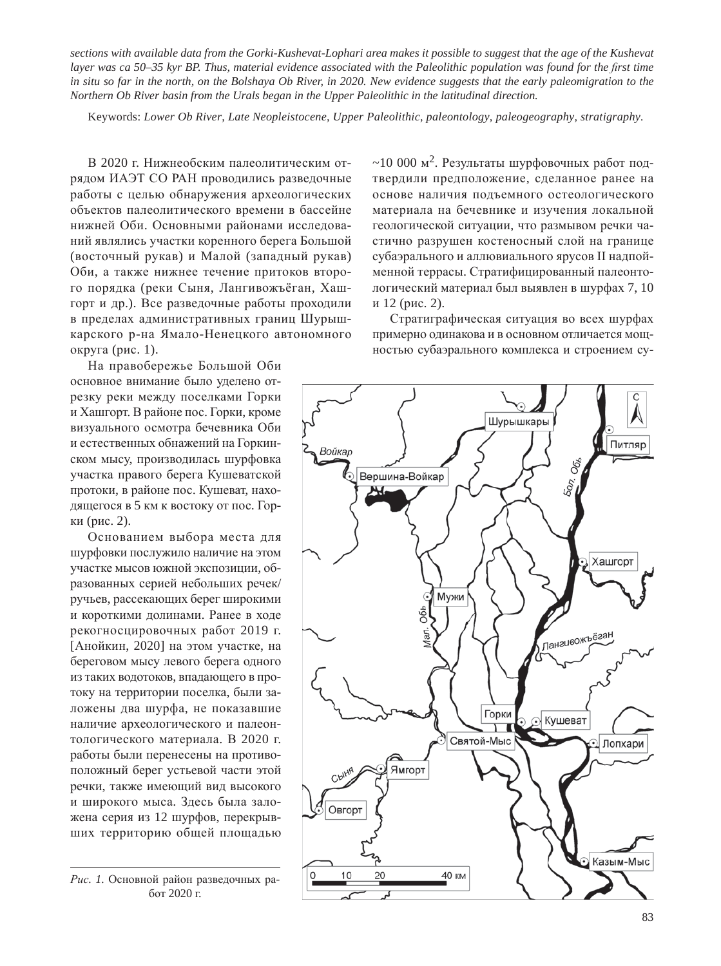*sections with available data from the Gorki-Kushevat-Lophari area makes it possible to suggest that the age of the Kushevat layer was ca 50–35 kyr BP. Thus, material evidence associated with the Paleolithic population was found for the first time in situ so far in the north, on the Bolshaya Ob River, in 2020. New evidence suggests that the early paleomigration to the Northern Ob River basin from the Urals began in the Upper Paleolithic in the latitudinal direction.*

Keywords: *Lower Ob River, Late Neopleistocene, Upper Paleolithic, paleontology, paleogeography, stratigraphy.*

В 2020 г. Нижнеобским палеолитическим отрядом ИАЭТ СО РАН проводились разведочные работы с целью обнаружения археологических объектов палеолитического времени в бассейне нижней Оби. Основными районами исследований являлись участки коренного берега Большой (восточный рукав) и Малой (западный рукав) Оби, а также нижнее течение притоков второго порядка (реки Сыня, Лангивожъёган, Хашгорт и др.). Все разведочные работы проходили в пределах административных границ Шурышкарского р-на Ямало-Ненецкого автономного округа (рис. 1).

На правобережье Большой Оби основное внимание было уделено отрезку реки между поселками Горки и Хашгорт. В районе пос. Горки, кроме визуального осмотра бечевника Оби и естественных обнажений на Горкинском мысу, производилась шурфовка участка правого берега Кушеватской протоки, в районе пос. Кушеват, находящегося в 5 км к востоку от пос. Горки (рис. 2).

Основанием выбора места для шурфовки послужило наличие на этом участке мысов южной экспозиции, образованных серией небольших речек/ ручьев, рассекающих берег широкими и короткими долинами. Ранее в ходе рекогносцировочных работ 2019 г. [Анойкин, 2020] на этом участке, на береговом мысу левого берега одного из таких водотоков, впадающего в протоку на территории поселка, были заложены два шурфа, не показавшие наличие археологического и палеонтологического материала. В 2020 г. работы были перенесены на противоположный берег устьевой части этой речки, также имеющий вид высокого и широкого мыса. Здесь была заложена серия из 12 шурфов, перекрывших территорию общей площадью

Рис. 1. Основной район разведочных ра- $6$ от 2020 г.

 $\sim$ 10 000 м<sup>2</sup>. Результаты шурфовочных работ подтвердили предположение, сделанное ранее на основе наличия подъемного остеологического материала на бечевнике и изучения локальной геологической ситуации, что размывом речки частично разрушен костеносный слой на границе субаэрального и аллювиального ярусов II надпойменной террасы. Стратифицированный палеонтологический материал был выявлен в шурфах 7, 10 и 12 (рис. 2).

Стратиграфическая ситуация во всех шурфах примерно одинакова и в основном отличается мошностью субаэрального комплекса и строением су-

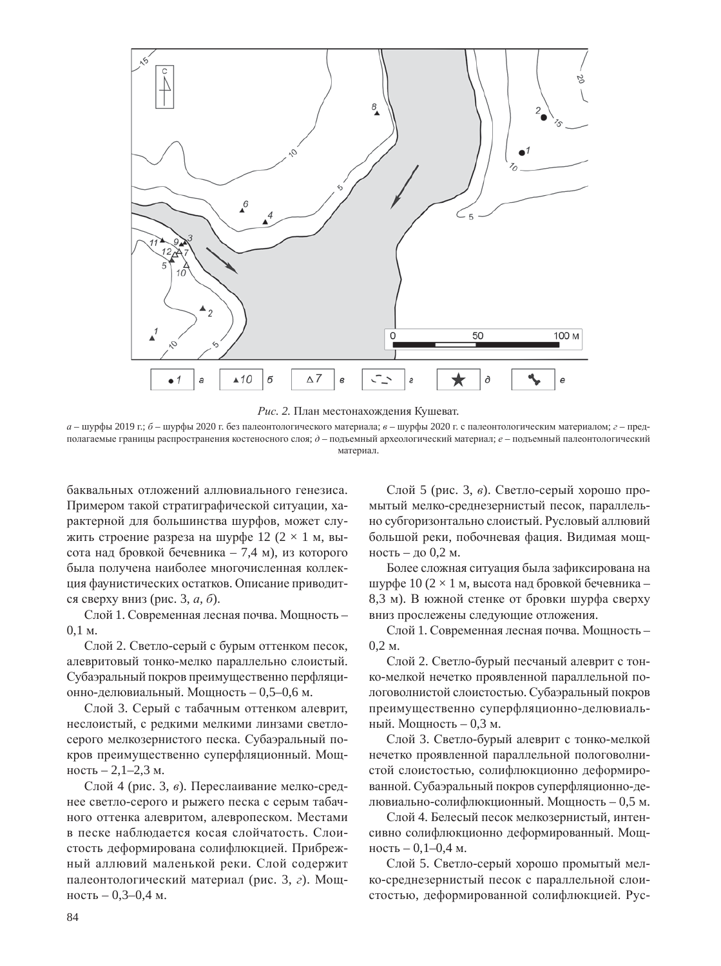



*а* – шурфы 2019 г.; *б* – шурфы 2020 г. без палеонтологического материала; *в* – шурфы 2020 г. с палеонтологическим материалом; *г* – предполагаемые границы распространения костеносного слоя;  $\partial$  – подъемный археологический материал;  $e$  – подъемный палеонтологический материал.

баквальных отложений аллювиального генезиса. Примером такой стратиграфической ситуации, характерной для большинства шурфов, может служить строение разреза на шурфе 12 ( $2 \times 1$  м, высота над бровкой бечевника – 7,4 м), из которого была получена наиболее многочисленная коллекция фаунистических остатков. Описание приводится сверху вниз (рис. 3, *а*, *б*).

Слой 1. Современная лесная почва. Мощность –  $0.1 m$ .

Слой 2. Светло-серый с бурым оттенком песок, алевритовый тонко-мелко параллельно слоистый. Субаэральный покров преимущественно перфляционно-делювиальный. Мощность - 0,5-0,6 м.

Слой 3. Серый с табачным оттенком алеврит, неслоистый, с редкими мелкими линзами светлосерого мелкозернистого песка. Субаэральный покров преимущественно суперфляционный. Мощ- $HOCTB - 2,1–2,3$  м.

Слой 4 (рис. 3, *в*). Переслаивание мелко-среднее светло-серого и рыжего песка с серым табачного оттенка алевритом, алевропеском. Местами в песке наблюдается косая слойчатость. Слоистость деформирована солифлюкцией. Прибрежный аллювий маленькой реки. Слой содержит палеонтологический материал (рис. 3, *г*). Мощность – 0,3–0,4 м.

Слой 5 (рис. 3, *в*). Светло-серый хорошо промытый мелко-среднезернистый песок, параллельно субгоризонтально слоистый. Русловый аллювий большой реки, побочневая фация. Видимая мощность – до 0,2 м.

Более сложная ситуация была зафиксирована на шурфе 10 (2  $\times$  1 м, высота над бровкой бечевника – 8,3 м). В южной стенке от бровки шурфа сверху вниз прослежены следующие отложения.

Слой 1. Современная лесная почва. Мощность –  $0,2 \text{ M}.$ 

Слой 2. Светло-бурый песчаный алеврит с тонко-мелкой нечетко проявленной параллельной пологоволнистой слоистостью. Субаэральный покров преимущественно суперфляционно-делювиальный. Мощность – 0,3 м.

Слой 3. Светло-бурый алеврит с тонко-мелкой нечетко проявленной параллельной пологоволнистой слоистостью, солифлюкционно деформированной. Субаэральный покров суперфляционно-делювиально-солифлюкционный. Мощность – 0,5 м.

Слой 4. Белесый песок мелкозернистый, интенсивно солифлюкционно деформированный. Мощность – 0,1–0,4 м.

Слой 5. Светло-серый хорошо промытый мелко-среднезернистый песок с параллельной слоистостью, деформированной солифлюкцией. Рус-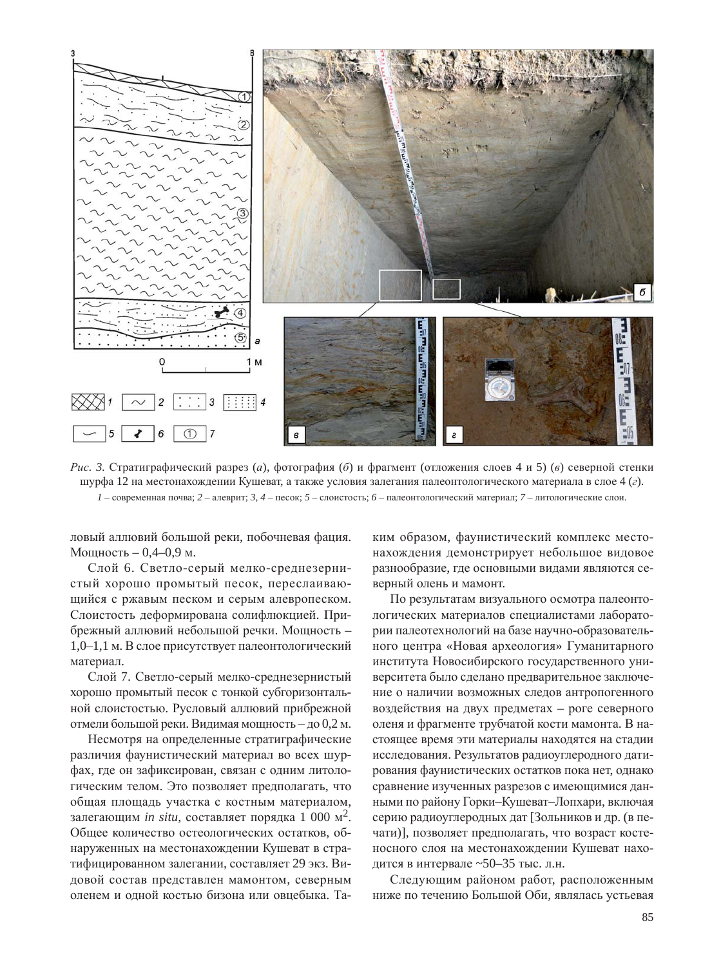

*Рис. 3.* Стратиграфический разрез (*a*), фотография (б) и фрагмент (отложения слоев 4 и 5) (*в*) северной стенки шурфа 12 на местонахождении Кушеват, а также условия залегания палеонтологического материала в слое 4 (*г*).  $1$  – современная почва;  $2$  – алеврит;  $3$ ,  $4$  – песок;  $5$  – слоистость;  $6$  – палеонтологический материал;  $7$  – литологические слои.

ловый аллювий большой реки, побочневая фация. Мощность – 0,4–0,9 м.

Слой 6. Светло-серый мелко-среднезернистый хорошо промытый песок, переслаивающийся с ржавым песком и серым алевропеском. Слоистость деформирована солифлюкцией. Прибрежный аллювий небольшой речки. Мощность -1,0–1,1 м. В слое присутствует палеонтологический материал.

Слой 7. Светло-серый мелко-среднезернистый хорошо промытый песок с тонкой субгоризонтальной слоистостью. Русловый аллювий прибрежной отмели большой реки. Видимая мощность – до 0,2 м.

Несмотря на определенные стратиграфические различия фаунистический материал во всех шурфах, где он зафиксирован, связан с одним литологическим телом. Это позволяет предполагать, что общая площадь участка с костным материалом, залегающим *in situ*, составляет порядка 1 000 м<sup>2</sup>. Общее количество остеологических остатков, обнаруженных на местонахождении Кушеват в стратифицированном залегании, составляет 29 экз. Видовой состав представлен мамонтом, северным оленем и одной костью бизона или овцебыка. Таким образом, фаунистический комплекс местонахождения демонстрирует небольшое видовое разнообразие, где основными видами являются северный олень и мамонт.

По результатам визуального осмотра палеонтологических материалов специалистами лаборатории палеотехнологий на базе научно-образовательного центра «Новая археология» Гуманитарного института Новосибирского государственного университета было сделано предварительное заключение о наличии возможных следов антропогенного воздействия на двух предметах – роге северного оленя и фрагменте трубчатой кости мамонта. В настоящее время эти материалы находятся на стадии исследования. Результатов радиоуглеродного датирования фаунистических остатков пока нет, однако сравнение изученных разрезов с имеющимися данными по району Горки-Кушеват-Лопхари, включая серию радиоуглеродных дат [Зольников и др. (в печати)], позволяет предполагать, что возраст костеносного слоя на местонахождении Кушеват находится в интервале ~50–35 тыс. л.н.

Следующим районом работ, расположенным ниже по течению Большой Оби, являлась устьевая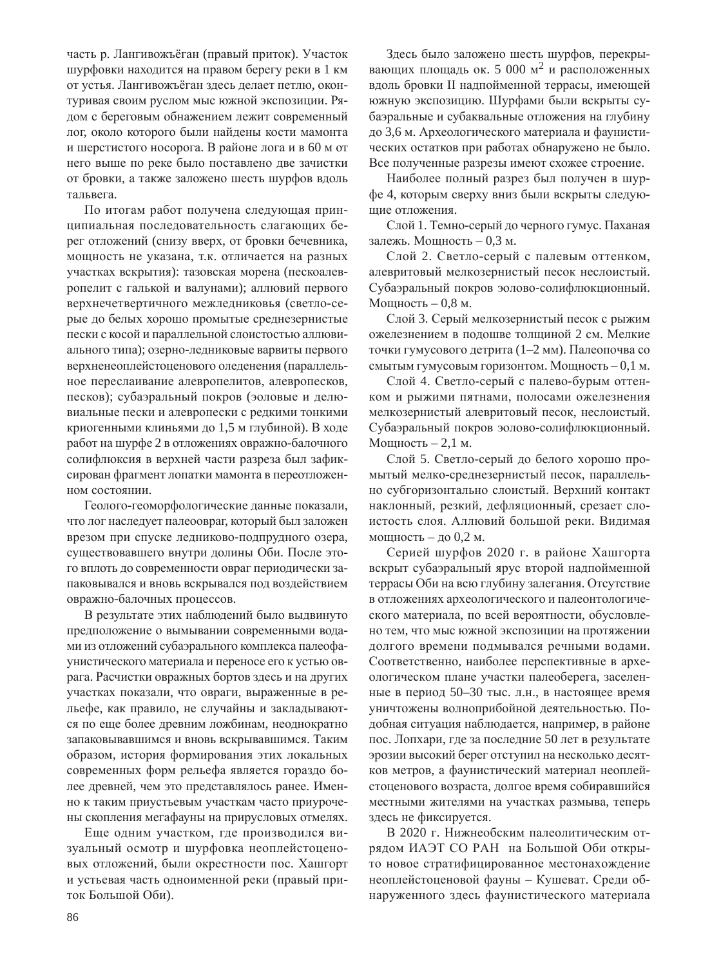часть р. Лангивожъёган (правый приток). Участок шурфовки находится на правом берегу реки в 1 км от устья. Лангивожъёган здесь делает петлю, оконтуривая своим руслом мыс южной экспозиции. Рядом с береговым обнажением лежит современный лог, около которого были найдены кости мамонта и шерстистого носорога. В районе лога и в 60 м от него выше по реке было поставлено две зачистки от бровки, а также заложено шесть шурфов вдоль тальвега.

По итогам работ получена следующая принципиальная последовательность слагающих берег отложений (снизу вверх, от бровки бечевника, мощность не указана, т.к. отличается на разных участках вскрытия): тазовская морена (пескоалевропелит с галькой и валунами); аллювий первого верхнечетвертичного межледниковья (светло-серые до белых хорошо промытые среднезернистые пески с косой и параллельной слоистостью аллювиального типа); озерно-ледниковые варвиты первого верхненеоплейстоценового оледенения (параллельное переслаивание алевропелитов, алевропесков, песков); субаэральный покров (эоловые и делювиальные пески и алевропески с редкими тонкими криогенными клиньями до 1,5 м глубиной). В ходе работ на шурфе 2 в отложениях овражно-балочного солифлюксия в верхней части разреза был зафиксирован фрагмент лопатки мамонта в переотложенном состоянии.

Геолого-геоморфологические данные показали, что лог наследует палеоовраг, который был заложен врезом при спуске ледниково-подпрудного озера, существовавшего внутри долины Оби. После этого вплоть до современности овраг периодически запаковывался и вновь вскрывался под воздействием овражно-балочных процессов.

В результате этих наблюдений было выдвинуто предположение о вымывании современными водами из отложений субаэрального комплекса палеофаунистического материала и переносе его к устью оврага. Расчистки овражных бортов здесь и на других участках показали, что овраги, выраженные в рельефе, как правило, не случайны и закладываются по еще более древним ложбинам, неоднократно запаковывавшимся и вновь вскрывавшимся. Таким образом, история формирования этих локальных современных форм рельефа является гораздо более древней, чем это представлялось ранее. Именно к таким приустьевым участкам часто приурочены скопления мегафауны на прирусловых отмелях.

Еще одним участком, где производился визуальный осмотр и шурфовка неоплейстоценовых отложений, были окрестности пос. Хашгорт и устьевая часть одноименной реки (правый приток Большой Оби).

Здесь было заложено шесть шурфов, перекрывающих площадь ок. 5 000 м<sup>2</sup> и расположенных вдоль бровки II надпойменной террасы, имеющей южную экспозицию. Шурфами были вскрыты субаэральные и субаквальные отложения на глубину до 3,6 м. Археологического материала и фаунистических остатков при работах обнаружено не было. Все полученные разрезы имеют схожее строение.

Наиболее полный разрез был получен в шурфе 4, которым сверху вниз были вскрыты следующие отложения.

Слой 1. Темно-серый до черного гумус. Паханая залежь. Мощность – 0,3 м.

Слой 2. Светло-серый с палевым оттенком, алевритовый мелкозернистый песок неслоистый. Субаэральный покров эолово-солифлюкционный. Мощность – 0,8 м.

Слой 3. Серый мелкозернистый песок с рыжим ожелезнением в полошве толшиной 2 см. Мелкие точки гумусового детрита (1–2 мм). Палеопочва со смытым гумусовым горизонтом. Мощность – 0,1 м.

Слой 4. Светло-серый с палево-бурым оттенком и рыжими пятнами, полосами ожелезнения мелкозернистый алевритовый песок, неслоистый. Субаэральный покров эолово-солифлюкционный. Мощность  $-2,1$  м.

Слой 5. Светло-серый до белого хорошо промытый мелко-среднезернистый песок, параллельно субгоризонтально слоистый. Верхний контакт наклонный, резкий, дефляционный, срезает слоистость слоя. Аллювий большой реки. Видимая мощность – до 0,2 м.

Серией шурфов 2020 г. в районе Хашгорта вскрыт субаэральный ярус второй надпойменной террасы Оби на всю глубину залегания. Отсутствие в отложениях археологического и палеонтологического материала, по всей вероятности, обусловлено тем, что мыс южной экспозиции на протяжении долгого времени подмывался речными водами. Соответственно, наиболее перспективные в археологическом плане участки палеоберега, заселенные в период 50–30 тыс. л.н., в настоящее время уничтожены волноприбойной деятельностью. Подобная ситуация наблюдается, например, в районе пос. Лопхари, где за последние 50 лет в результате эрозии высокий берег отступил на несколько десятков метров, а фаунистический материал неоплейстоценового возраста, долгое время собиравшийся местными жителями на участках размыва, теперь здесь не фиксируется.

В 2020 г. Нижнеобским палеолитическим отрядом ИАЭТ СО РАН на Большой Оби открыто новое стратифицированное местонахождение неоплейстоценовой фауны - Кушеват. Среди обнаруженного здесь фаунистического материала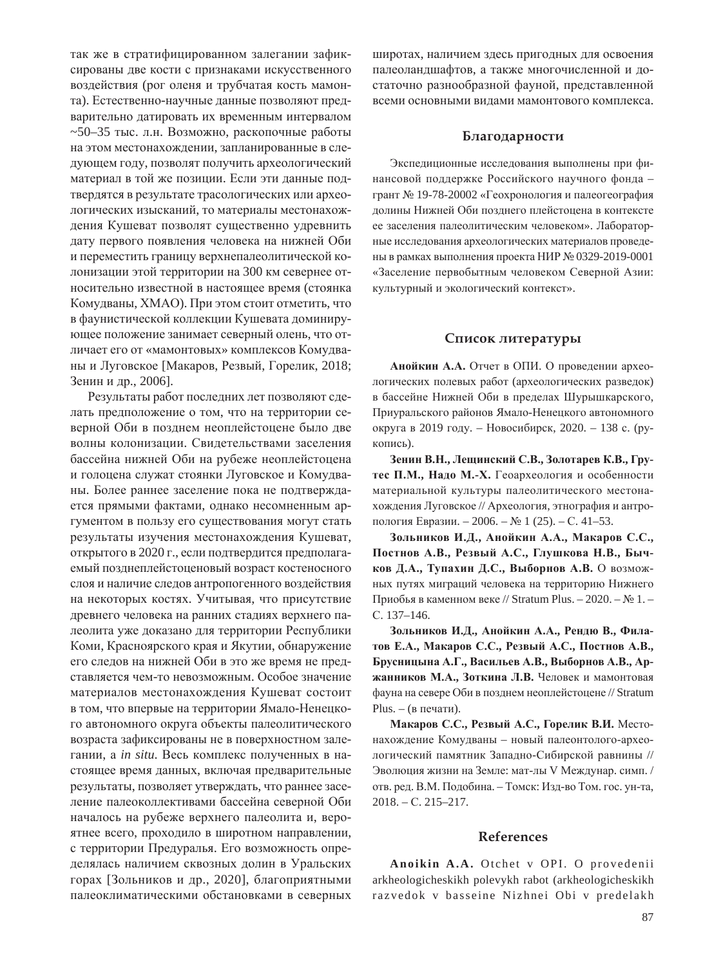так же в стратифицированном залегании зафиксированы две кости с признаками искусственного воздействия (рог оленя и трубчатая кость мамонта). Естественно-научные данные позволяют предварительно датировать их временным интервалом  $~50-35$  тыс. л.н. Возможно, раскопочные работы на этом местонахождении, запланированные в следующем году, позволят получить археологический материал в той же позиции. Если эти данные подтвердятся в результате трасологических или археологических изысканий, то материалы местонахождения Кушеват позволят существенно удревнить дату первого появления человека на нижней Оби и переместить границу верхнепалеолитической колонизации этой территории на 300 км севернее относительно известной в настоящее время (стоянка Комудваны, XMAO). При этом стоит отметить, что в фаунистической коллекции Кушевата доминирующее положение занимает северный олень, что отличает его от «мамонтовых» комплексов Комудваны и Луговское [Макаров, Резвый, Горелик, 2018; Зенин и др., 2006].

Результаты работ последних лет позволяют сделать предположение о том, что на территории северной Оби в позднем неоплейстоцене было две волны колонизации. Свидетельствами заселения бассейна нижней Оби на рубеже неоплейстоцена и голоцена служат стоянки Луговское и Комудваны. Более раннее заселение пока не подтверждается прямыми фактами, однако несомненным аргументом в пользу его существования могут стать результаты изучения местонахождения Кушеват, открытого в 2020 г., если подтвердится предполагаемый позднеплейстоценовый возраст костеносного слоя и наличие следов антропогенного воздействия на некоторых костях. Учитывая, что присутствие древнего человека на ранних стадиях верхнего палеолита уже доказано для территории Республики Коми, Красноярского края и Якутии, обнаружение его следов на нижней Оби в это же время не представляется чем-то невозможным. Особое значение материалов местонахождения Кушеват состоит в том, что впервые на территории Ямало-Ненецкого автономного округа объекты палеолитического возраста зафиксированы не в поверхностном залегании, а *in situ*. Весь комплекс полученных в настоящее время данных, включая предварительные результаты, позволяет утверждать, что раннее заселение палеоколлективами бассейна северной Оби началось на рубеже верхнего палеолита и, вероятнее всего, проходило в широтном направлении, с территории Предуралья. Его возможность определялась наличием сквозных долин в Уральских горах [Зольников и др., 2020], благоприятными палеоклиматическими обстановками в северных

широтах, наличием здесь пригодных для освоения палеоландшафтов, а также многочисленной и достаточно разнообразной фауной, представленной всеми основными видами мамонтового комплекса.

### **Благодарности**

Экспедиционные исследования выполнены при финансовой поддержке Российского научного фонда грант № 19-78-20002 «Геохронология и палеогеография долины Нижней Оби позднего плейстоцена в контексте ее заселения палеолитическим человеком». Лабораторные исследования археологических материалов проведены в рамках выполнения проекта НИР № 0329-2019-0001 «Заселение первобытным человеком Северной Азии: культурный и экологический контекст».

#### Список литературы

Анойкин А.А. Отчет в ОПИ. О проведении археологических полевых работ (археологических разведок) в бассейне Нижней Оби в пределах Шурышкарского, Приуральского районов Ямало-Ненецкого автономного округа в 2019 году. – Новосибирск, 2020. – 138 с. (рукопись).

Зенин В.Н., Лещинский С.В., Золотарев К.В., Грутес П.М., Надо М.-Х. Геоархеология и особенности материальной культуры палеолитического местонахождения Луговское // Археология, этнография и антропология Евразии. – 2006. – № 1 (25). – С. 41–53.

Зольников И.Д., Анойкин А.А., Макаров С.С., Постнов А.В., Резвый А.С., Глушкова Н.В., Быч**ков Д.А., Тупахин Д.С., Выборнов А.В.** О возможных путях миграций человека на территорию Нижнего Приобья в каменном веке // Stratum Plus. – 2020. –  $\mathbb{N}$  1. – C. 137-146.

Зольников И.Д., Анойкин А.А., Рендю В., Фила-**ТОВ Е.А., Макаров С.С., Резвый А.С., Постнов А.В.,** Брусницына А.Г., Васильев А.В., Выборнов А.В., Ар-**Жанников М.А., Зоткина Л.В.** Человек и мамонтовая фауна на севере Оби в позднем неоплейстоцене // Stratum  $Plus. - (B$  печати).

**Макаров С.С., Резвый А.С., Горелик В.И.** Местонахождение Комудваны – новый палеонтолого-археологический памятник Западно-Сибирской равнины // Эволюция жизни на Земле: мат-лы V Междунар. симп. / отв. ред. В.М. Подобина. – Томск: Изд-во Том. гос. ун-та, 2018. – C. 215–217.

### **References**

**Anoikin A.A.** Otchet v OPI. O provedenii arkheologicheskikh polevykh rabot (arkheologicheskikh razvedok v basseine Nizhnei Obi v predelakh